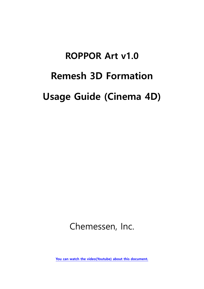# **ROPPOR Art v1.0 Remesh 3D Formation Usage Guide (Cinema 4D)**

Chemessen, Inc.

**[You can watch the video\(Youtube\) about this document.](https://youtu.be/TRyKP6rbZrs)**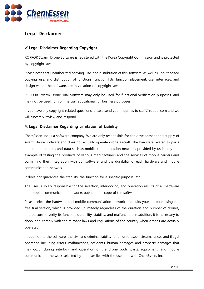

## <span id="page-1-0"></span>**Legal Disclaimer**

#### <span id="page-1-1"></span>**※ Legal Disclaimer Regarding Copyright**

ROPPOR Swarm Drone Software is registered with the Korea Copyright Commission and is protected by copyright law.

Please note that unauthorized copying, use, and distribution of this software, as well as unauthorized copying, use, and distribution of functions, function lists, function placement, user interfaces, and design within the software, are in violation of copyright law.

ROPPOR Swarm Drone Trial Software may only be used for functional verification purposes, and may not be used for commercial, educational, or business purposes.

If you have any copyright-related questions, please send your inquiries to staff@roppor.com and we will sincerely review and respond.

#### <span id="page-1-2"></span>**※ Legal Disclaimer Regarding Limitation of Liability**

ChemEssen Inc. is a software company. We are only responsible for the development and supply of swarm drone software and does not actually operate drone aircraft. The hardware related to parts and equipment, etc. and data such as mobile communication networks provided by us is only one example of testing the products of various manufacturers and the services of mobile carriers and confirming their integration with our software, and the durability of each hardware and mobile communication network.

It does not guarantee the stability, the function for a specific purpose, etc.

The user is solely responsible for the selection, interlocking, and operation results of all hardware and mobile communication networks outside the scope of the software.

Please select the hardware and mobile communication network that suits your purpose using the free trial version, which is provided unlimitedly regardless of the duration and number of drones, and be sure to verify its function, durability, stability, and malfunction. In addition, it is necessary to check and comply with the relevant laws and regulations of the country when drones are actually operated.

In addition to the software, the civil and criminal liability for all unforeseen circumstances and illegal operation including errors, malfunctions, accidents, human damages and property damages that may occur during interlock and operation of the drone body, parts, equipment, and mobile communication network selected by the user lies with the user, not with ChemEssen, Inc.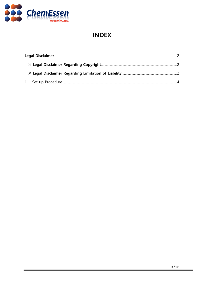

# **INDEX**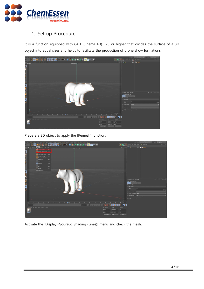

## <span id="page-3-0"></span>1. Set-up Procedure

It is a function equipped with C4D (Cinema 4D) R23 or higher that divides the surface of a 3D object into equal sizes and helps to facilitate the production of drone show formations.



Prepare a 3D object to apply the [Remesh] function.



Activate the [Display>Gouraud Shading (Lines)] menu and check the mesh.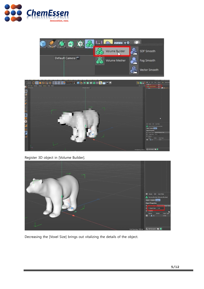





Register 3D object in [Volume Builder].



Decreasing the [Voxel Size] brings out vitalizing the details of the object.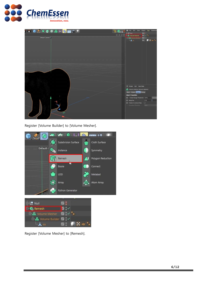



Register [Volume Builder] to [Volume Mesher].





Register [Volume Mesher] to [Remesh].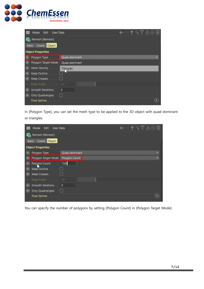

| Edit<br>Mode<br><b>User Data</b> |               |  | ←→↑९7ê⊙⊞ |
|----------------------------------|---------------|--|----------|
| Remesh [Remesh]                  |               |  |          |
| Basic Coord. Object              |               |  |          |
| <b>Object Properties</b>         |               |  |          |
| Polygon Type                     | Quad-dominant |  |          |
| Polygon Target Mode              | Quad-dominant |  |          |
| $\circ$<br>Mesh Density.         | Triangles     |  |          |
| Keep Outline                     | لما           |  |          |
|                                  |               |  |          |
| Edge Angle 40*                   |               |  |          |
| Smooth Iterations.               | G<br>$\circ$  |  |          |
| Only Quadrangles . $\Box$        |               |  |          |
| <b>Flow Splines</b>              |               |  |          |

In [Polygon Type], you can set the mesh type to be applied to the 3D object with quad-dominant or triangles.



You can specify the number of polygons by setting [Polygon Count] in [Polygon Target Mode].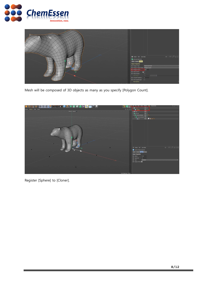



Mesh will be composed of 3D objects as many as you specify [Polygon Count].



Register [Sphere] to [Cloner].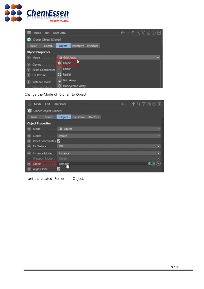

| ← ↑۹78⊙⊞<br>Edit<br><b>User Data</b><br>Mode |                                         |                         |  |  |
|----------------------------------------------|-----------------------------------------|-------------------------|--|--|
| Cloner Object [Cloner]                       |                                         |                         |  |  |
| Basic<br>Coord.                              | Object<br>Transform<br><b>Effectors</b> |                         |  |  |
| <b>Object Properties</b>                     |                                         |                         |  |  |
| <b>.</b> Mode                                | <b>Crid Array</b>                       | $\overline{\mathbf{v}}$ |  |  |
| Clones                                       | ь<br>Object<br>KO.                      |                         |  |  |
| <b>Reset Coordinates</b>                     | . Linear                                |                         |  |  |
| <b>Radial</b><br>Fix Texture                 |                                         |                         |  |  |
| <b>Instance Mode</b>                         | ₩<br>Grid Array                         |                         |  |  |
| ::: Honeycomb Array<br>Viewport Mode         |                                         |                         |  |  |

Change the Mode of [Cloner] to Object

| Edit<br>Mode                   | <b>User Data</b>                        | 19780F                   |
|--------------------------------|-----------------------------------------|--------------------------|
| Cloner Object [Cloner]         |                                         |                          |
| Basic<br>Coord.                | Object<br>Transform<br><b>Effectors</b> |                          |
| <b>Object Properties</b>       |                                         |                          |
| $\circ$<br>Mode                | <b>W</b> Object                         | ×                        |
|                                | <b>Iterate</b>                          | $\overline{\phantom{a}}$ |
| Reset Coordinates<br>$\bullet$ |                                         |                          |
| $\circledcirc$<br>Fix Texture. | Off                                     | $\overline{\phantom{a}}$ |
| Instance Mode                  | Instance                                | ×                        |
| Viewport Mode                  | Object                                  | ×                        |
| Object<br>.                    | Reme L.                                 | G.                       |
| Align Clone                    | V                                       |                          |

Insert the created [Remesh] in Object.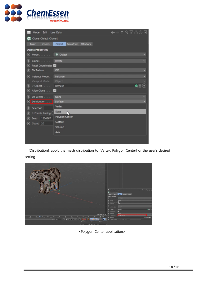

| Mode<br>Edit                  | <b>User Data</b>                        | ↑۹7ê⊚⊟       |
|-------------------------------|-----------------------------------------|--------------|
| Cloner Object [Cloner]        |                                         |              |
| <b>Basic</b><br>Coord.        | Object<br>Transform<br><b>Effectors</b> |              |
| <b>Object Properties</b>      |                                         |              |
| Mode<br>$\circ$               | <b>W</b> Object                         |              |
| О<br>Clones                   | Iterate                                 | v            |
| Reset Coordinates<br>O        |                                         |              |
| Fix Texture.<br>Ю             | Off                                     | v            |
| $\circ$<br>Instance Mode      | Instance                                | v            |
| Viewport Mode.                | Object                                  |              |
| $\circ$<br>> Object           | Remesh                                  | G,           |
| Align Clone<br>Ю              | $\vert\checkmark\vert$                  |              |
| $\circ$<br>Up Vector.         | None                                    | v            |
| Distribution<br>Ю             | Surface                                 | $\checkmark$ |
| $\circ$<br>Selection          | Vertex                                  |              |
| > Enable Scaling [<br>$\circ$ | Edge                                    |              |
| 1234567<br>$\circ$<br>Seed    | Polygon Center                          |              |
| Count   20<br>О               | Surface                                 |              |
|                               | Volume                                  |              |
|                               | Axis                                    |              |
|                               |                                         |              |

In [Distribution], apply the mesh distribution to [Vertex, Polygon Center] or the user's desired setting.

|                                                                                                               |                           |                      | Mode Edit User Data                                                    | $-197000$              |
|---------------------------------------------------------------------------------------------------------------|---------------------------|----------------------|------------------------------------------------------------------------|------------------------|
|                                                                                                               |                           |                      | Cloner Object [Cloner]                                                 |                        |
|                                                                                                               |                           |                      | Object Transform Effectors<br>Basic Coord.                             |                        |
|                                                                                                               |                           |                      | <b>Object Properties</b>                                               |                        |
|                                                                                                               |                           |                      | <b>O</b> Object<br><sup> Mode.</sup>                                   |                        |
|                                                                                                               |                           |                      | @ Clones<br><b>Iterate</b><br><b>a</b> Reset Coordinates               |                        |
|                                                                                                               |                           |                      | <b>COFF</b><br><sup>(a)</sup> For Texture.                             |                        |
|                                                                                                               |                           |                      | <sup>(6)</sup> Instance Mode<br>Instance                               |                        |
|                                                                                                               |                           |                      | Viewport Mode .<br><b>Cloint</b>                                       |                        |
|                                                                                                               |                           |                      | @ > Object<br>Remesh                                                   | $6 - 6$                |
|                                                                                                               |                           |                      | ø<br>@ Align Clone                                                     |                        |
|                                                                                                               |                           | Grid Spacing : 50 cm | None<br>(b) Up Vector<br><b>Raygon Center</b><br><b>O</b> Distribution |                        |
| 340<br>35 <sup>°</sup><br>$33,40$ 45 50 55<br>$65$ $70$ $75$<br>卑<br><b>The Company's Company's Company's</b> | $\frac{80}{2}$            | $\frac{85}{1}$ 35 M  | Selection                                                              | <b><i>O</i></b> Enable |
| 90 F 30 F<br>H                                                                                                | $\overline{\mathcal{L}}$  |                      | O > Enable Scaling D Scale: 100%                                       |                        |
|                                                                                                               | <b>E</b> Position<br>Size | Rotation             |                                                                        |                        |
|                                                                                                               | $X$ 0 cm<br>X 99.792 cm   | CH O*                |                                                                        |                        |

<Polygon Center application>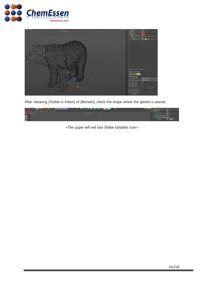



After releasing [Visible in Editor] of [Remesh], check the shape where the sphere is placed.

|              | <b>A MORT MORT MORT DE LA VIE DE LA VIE DE LA VIE DE LA VIE DE LA VIE DE LA VIE DE LA VIE DE LA VIE DE LA VIE DE</b> |                 | <b>Le</b> Cloner                          | 28           |
|--------------|----------------------------------------------------------------------------------------------------------------------|-----------------|-------------------------------------------|--------------|
|              | www. E View Cameras Display Options Filter Panel                                                                     |                 |                                           | в:           |
|              | Perspective                                                                                                          | Default Camera? | Null Object [Cloner]<br><b>CONTRACTOR</b> | 21 L         |
| จิ           |                                                                                                                      |                 | → E-25 Volume Mesher 2 → C                |              |
|              |                                                                                                                      |                 | <b>E-S</b> Volume Builder <b>E :</b>      |              |
| $\mathbf{a}$ |                                                                                                                      |                 | $\blacktriangle$ ex                       | <b>ZE AR</b> |

<The upper left red box [Make Editable] icon>